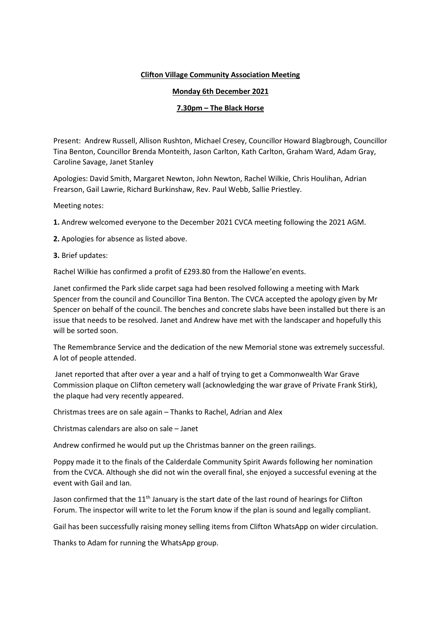## **Clifton Village Community Association Meeting**

## **Monday 6th December 2021**

## **7.30pm – The Black Horse**

Present: Andrew Russell, Allison Rushton, Michael Cresey, Councillor Howard Blagbrough, Councillor Tina Benton, Councillor Brenda Monteith, Jason Carlton, Kath Carlton, Graham Ward, Adam Gray, Caroline Savage, Janet Stanley

Apologies: David Smith, Margaret Newton, John Newton, Rachel Wilkie, Chris Houlihan, Adrian Frearson, Gail Lawrie, Richard Burkinshaw, Rev. Paul Webb, Sallie Priestley.

Meeting notes:

**1.** Andrew welcomed everyone to the December 2021 CVCA meeting following the 2021 AGM.

**2.** Apologies for absence as listed above.

## **3.** Brief updates:

Rachel Wilkie has confirmed a profit of £293.80 from the Hallowe'en events.

Janet confirmed the Park slide carpet saga had been resolved following a meeting with Mark Spencer from the council and Councillor Tina Benton. The CVCA accepted the apology given by Mr Spencer on behalf of the council. The benches and concrete slabs have been installed but there is an issue that needs to be resolved. Janet and Andrew have met with the landscaper and hopefully this will be sorted soon.

The Remembrance Service and the dedication of the new Memorial stone was extremely successful. A lot of people attended.

Janet reported that after over a year and a half of trying to get a Commonwealth War Grave Commission plaque on Clifton cemetery wall (acknowledging the war grave of Private Frank Stirk), the plaque had very recently appeared.

Christmas trees are on sale again – Thanks to Rachel, Adrian and Alex

Christmas calendars are also on sale – Janet

Andrew confirmed he would put up the Christmas banner on the green railings.

Poppy made it to the finals of the Calderdale Community Spirit Awards following her nomination from the CVCA. Although she did not win the overall final, she enjoyed a successful evening at the event with Gail and Ian.

Jason confirmed that the 11<sup>th</sup> January is the start date of the last round of hearings for Clifton Forum. The inspector will write to let the Forum know if the plan is sound and legally compliant.

Gail has been successfully raising money selling items from Clifton WhatsApp on wider circulation.

Thanks to Adam for running the WhatsApp group.